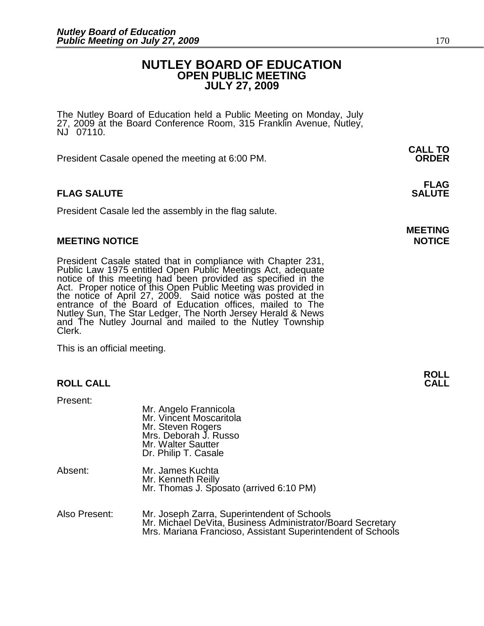### **NUTLEY BOARD OF EDUCATION OPEN PUBLIC MEETING JULY 27, 2009**

The Nutley Board of Education held a Public Meeting on Monday, July 27, 2009 at the Board Conference Room, 315 Franklin Avenue, Nutley, NJ 07110.

President Casale opened the meeting at 6:00 PM. **ORDER**

#### **FLAG FLAG SALUTE** SALUTE SALUTE SALUTE SALUTE SALUTE

President Casale led the assembly in the flag salute.

#### **MEETING NOTICE NOTICE**

President Casale stated that in compliance with Chapter 231, Public Law 1975 entitled Open Public Meetings Act, adequate notice of this meeting had been provided as specified in the Act. Proper notice of this Open Public Meeting was provided in the notice of April 27, 2009. Said notice was posted at the entrance of the Board of Education offices, mailed to The Nutley Sun, The Star Ledger, The North Jersey Herald & News and The Nutley Journal and mailed to the Nutley Township Clerk.

This is an official meeting.

#### **ROLL CALL**

Present:

|               | Mr. Angelo Frannicola<br>Mr. Vincent Moscaritola<br>Mr. Steven Rogers<br>Mrs. Deborah J. Russo<br>Mr. Walter Sautter<br>Dr. Philip T. Casale |
|---------------|----------------------------------------------------------------------------------------------------------------------------------------------|
| Absent:       | Mr. James Kuchta<br>Mr. Kenneth Reilly<br>Mr. Thomas J. Sposato (arrived 6:10 PM)                                                            |
| Also Present: | Mr. Joseph Zarra, Superintendent of Schools<br>Mr. Michael DeVita, Business Administrator/Board Secretary                                    |

Mrs. Mariana Francioso, Assistant Superintendent of Schools

**CALL TO**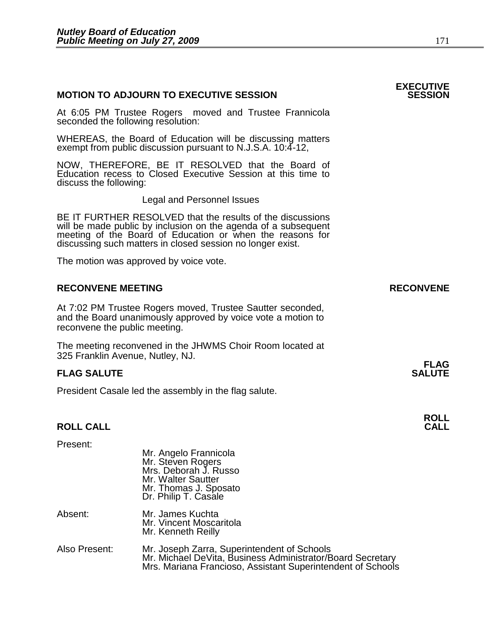| <b>MOTION TO ADJOURN TO EXECUTIVE SESSION</b>                                                                                                                                                                                                        | <b>EXECUTIVE</b><br><b>SESSION</b> |
|------------------------------------------------------------------------------------------------------------------------------------------------------------------------------------------------------------------------------------------------------|------------------------------------|
| At 6:05 PM Trustee Rogers moved and Trustee Frannicola<br>seconded the following resolution:                                                                                                                                                         |                                    |
| WHEREAS, the Board of Education will be discussing matters<br>exempt from public discussion pursuant to N.J.S.A. 10:4-12,                                                                                                                            |                                    |
| NOW, THEREFORE, BE IT RESOLVED that the Board of<br>Education recess to Closed Executive Session at this time to<br>discuss the following:                                                                                                           |                                    |
| <b>Legal and Personnel Issues</b>                                                                                                                                                                                                                    |                                    |
| BE IT FURTHER RESOLVED that the results of the discussions<br>will be made public by inclusion on the agenda of a subsequent meeting of the Board of Education or when the reasons for<br>discussing such matters in closed session no longer exist. |                                    |
| The motion was approved by voice vote.                                                                                                                                                                                                               |                                    |
| <b>RECONVENE MEETING</b>                                                                                                                                                                                                                             | <b>RECONVENE</b>                   |
| At 7:02 PM Trustee Rogers moved, Trustee Sautter seconded,<br>and the Board unanimously approved by voice vote a motion to<br>reconvene the public meeting.                                                                                          |                                    |
| The meeting reconvened in the JHWMS Choir Room located at<br>325 Franklin Avenue, Nutley, NJ.                                                                                                                                                        |                                    |
| <b>FLAG SALUTE</b>                                                                                                                                                                                                                                   | <b>FLAG</b><br><b>SALUTE</b>       |
| President Casale led the assembly in the flag salute.                                                                                                                                                                                                |                                    |
|                                                                                                                                                                                                                                                      |                                    |
| <b>ROLL CALL</b>                                                                                                                                                                                                                                     | <b>ROLL</b><br><b>CALL</b>         |
| Present:                                                                                                                                                                                                                                             |                                    |

|               | Mr. Steven Rogers<br>Mrs. Deborah J. Russo<br>Mr. Walter Sautter<br>Mr. Thomas J. Sposato<br>Dr. Philip T. Casale                                                        |
|---------------|--------------------------------------------------------------------------------------------------------------------------------------------------------------------------|
| Absent:       | Mr. James Kuchta<br>Mr. Vincent Moscaritola<br>Mr. Kenneth Reilly                                                                                                        |
| Also Present: | Mr. Joseph Zarra, Superintendent of Schools<br>Mr. Michael DeVita, Business Administrator/Board Secretary<br>Mrs. Mariana Francioso, Assistant Superintendent of Schools |

Mr. Angelo Frannicola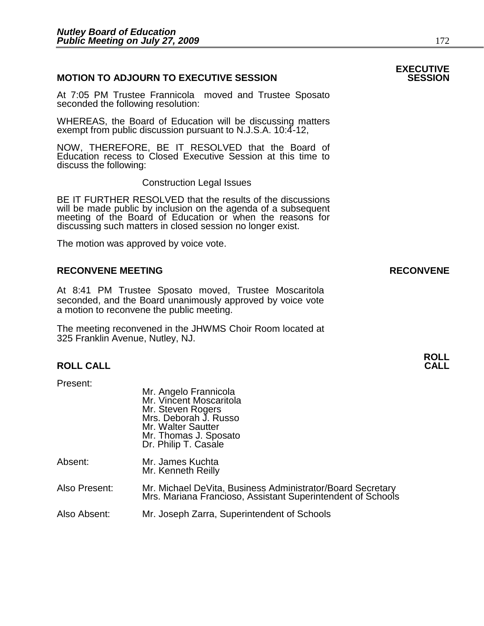#### **MOTION TO ADJOURN TO EXECUTIVE SESSION**

At 7:05 PM Trustee Frannicola moved and Trustee Sposato seconded the following resolution:

WHEREAS, the Board of Education will be discussing matters exempt from public discussion pursuant to N.J.S.A. 10:4-12,

NOW, THEREFORE, BE IT RESOLVED that the Board of Education recess to Closed Executive Session at this time to discuss the following:

Construction Legal Issues

BE IT FURTHER RESOLVED that the results of the discussions will be made public by inclusion on the agenda of a subsequent meeting of the Board of Education or when the reasons for discussing such matters in closed session no longer exist.

 The motion was approved by voice vote.

#### **RECONVENE MEETING RECONVENE**

At 8:41 PM Trustee Sposato moved, Trustee Moscaritola seconded, and the Board unanimously approved by voice vote a motion to reconvene the public meeting.

The meeting reconvened in the JHWMS Choir Room located at 325 Franklin Avenue, Nutley, NJ.

#### **ROLL CALL**

Present:

|               | Mr. Angelo Frannicola<br>Mr. Vincent Moscaritola<br>Mr. Steven Rogers<br>Mrs. Deborah J. Russo<br>Mr. Walter Sautter<br>Mr. Thomas J. Sposato<br>Dr. Philip T. Casale |
|---------------|-----------------------------------------------------------------------------------------------------------------------------------------------------------------------|
| Absent:       | Mr. James Kuchta<br>Mr. Kenneth Reilly                                                                                                                                |
| Also Present: | Mr. Michael DeVita, Business Administrator/Board Secretary<br>Mrs. Mariana Francioso, Assistant Superintendent of Schools                                             |
| Also Absent:  | Mr. Joseph Zarra, Superintendent of Schools                                                                                                                           |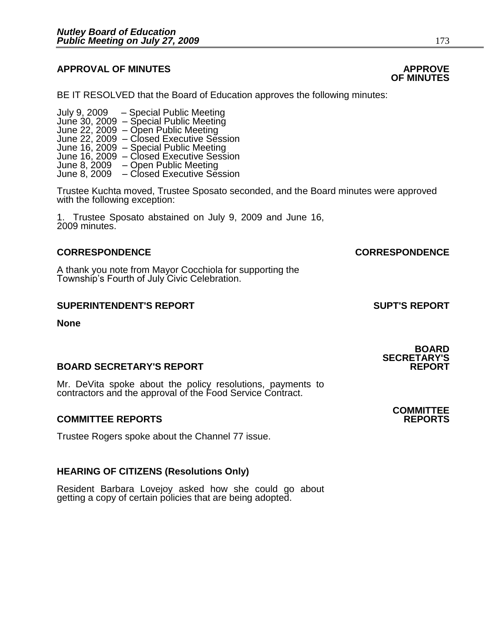#### **APPROVAL OF MINUTES APPROVE**

BE IT RESOLVED that the Board of Education approves the following minutes:

 July 9, 2009 – Special Public Meeting June 30, 2009 – June 22, 2009 – Open Public Meeting June 22, 2009 – Closed Executive Session June 16, 2009 – Special Public Meeting June 16, 2009 – Closed Executive Session June 8, 2009 – Open Public Meeting June 8, 2009 – Closed Executive Session

> Trustee Kuchta moved, Trustee Sposato seconded, and the Board minutes were approved with the following exception:

1. Trustee Sposato abstained on July 9, 2009 and June 16, 2009 minutes.

#### **CORRESPONDENCE CORRESPONDENCE**

A thank you note from Mayor Cocchiola for supporting the Township's Fourth of July Civic Celebration.

#### **SUPERINTENDENT'S REPORT SUPT'S REPORT**

**None** 

#### **BOARD SECRETARY'S REPORT**

Mr. DeVita spoke about the policy resolutions, payments to contractors and the approval of the Food Service Contract.

#### **COMMITTEE REPORTS REPORTS**

Trustee Rogers spoke about the Channel 77 issue.

#### **HEARING OF CITIZENS (Resolutions Only)**

Resident Barbara Lovejoy asked how she could go about getting a copy of certain policies that are being adopted.

# **OF MINUTES**

**SECRETARY'S** 

## **COMMITTEE**

**BOARD**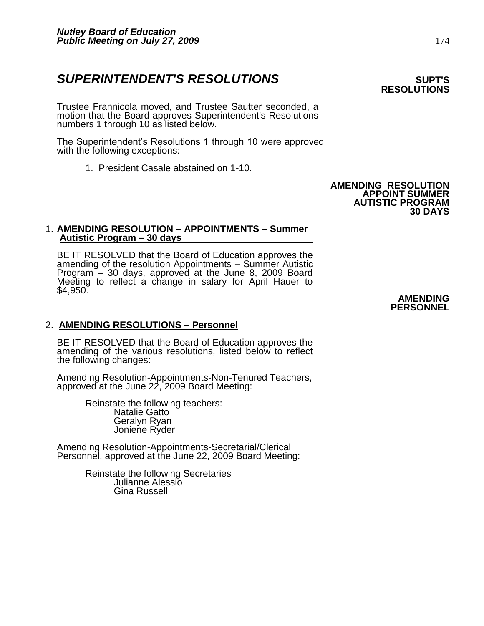### **SUPERINTENDENT'S RESOLUTIONS EXAMPLE ASSESSED ASSESSED ASSESSED ASSESSED ASSESSED ASSESSED ASSESSED ASSESSED ASSESSED ASSESSED ASSESSED ASSESSED ASSESSED ASSESSED ASSESSED ASSESSED ASSESSED ASSESSED ASSESSED ASSESSED AS**

Trustee Frannicola moved, and Trustee Sautter seconded, a motion that the Board approves Superintendent's Resolutions numbers 1 through 10 as listed below.

The Superintendent's Resolutions 1 through 10 were approved with the following exceptions:

1. President Casale abstained on 1-10.

#### **AMENDING RESOLUTION APPOINT SUMMER AUTISTIC PROGRAM 30 DAYS**

#### 1. **AMENDING RESOLUTION – APPOINTMENTS – Summer Autistic Program – 30 days**

BE IT RESOLVED that the Board of Education approves the amending of the resolution Appointments – Summer Autistic Program – 30 days, approved at the June 8, 2009 Board Meeting to reflect a change in salary for April Hauer to \$4,950.

#### 2. **AMENDING RESOLUTIONS – Personnel**

BE IT RESOLVED that the Board of Education approves the amending of the various resolutions, listed below to reflect the following changes:

Amending Resolution-Appointments-Non-Tenured Teachers, approved at the June 22, 2009 Board Meeting:

 Reinstate the following teachers: Natalie Gatto Geralyn Ryan Joniene Ryder

Amending Resolution-Appointments-Secretarial/Clerical Personnel, approved at the June 22, 2009 Board Meeting:

> Reinstate the following Secretaries Julianne Alessio Gina Russell

#### **AMENDING PERSONNEL**

# **RESOLUTIONS**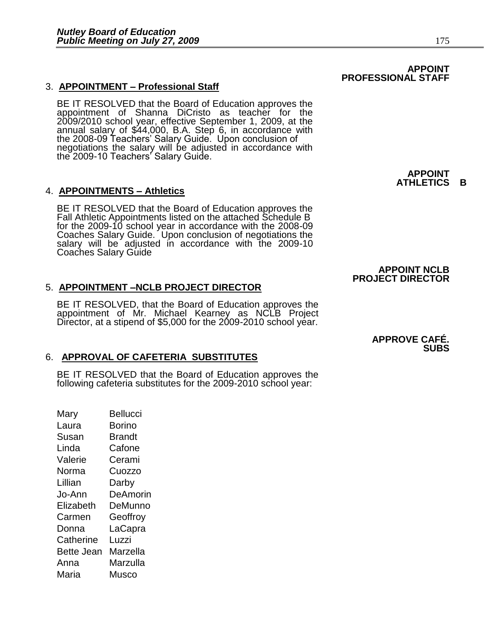#### 3. **APPOINTMENT – Professional Staff**

BE IT RESOLVED that the Board of Education approves the appointment of Shanna DiCristo as teacher for the 2009/2010 school year, effective September 1, 2009, at the annual salary of \$44,000, B.A. Step 6, in accordance with the 2008-09 Teachers' Salary Guide. Upon conclusion of negotiations the salary will be adjusted in accordance with the 2009-10 Teachers' Salary Guide.

#### 4. **APPOINTMENTS – Athletics**

BE IT RESOLVED that the Board of Education approves the Fall Athletic Appointments listed on the attached Schedule B for the 2009-10 school year in accordance with the 2008-09 Coaches Salary Guide. Upon conclusion of negotiations the salary will be adjusted in accordance with the 2009-10 Coaches Salary Guide

#### 5. **APPOINTMENT –NCLB PROJECT DIRECTOR**

BE IT RESOLVED, that the Board of Education approves the appointment of Mr. Michael Kearney as NCLB Project Director, at a stipend of \$5,000 for the 2009-2010 school year.

#### 6. **APPROVAL OF CAFETERIA SUBSTITUTES**

BE IT RESOLVED that the Board of Education approves the following cafeteria substitutes for the 2009-2010 school year:

Mary Bellucci Laura Borino Susan Brandt Linda Cafone Valerie Cerami Norma Cuozzo Lillian Darby Jo-Ann DeAmorin Elizabeth DeMunno Carmen Geoffroy Donna LaCapra Catherine Luzzi Bette Jean Marzella Anna Marzulla Maria Musco

**APPOINT ATHLETICS B** 

#### **APPROVE CAFÉ. SUBS**

**APPOINT NCLB PROJECT DIRECTOR** 

#### **APPOINT PROFESSIONAL STAFF**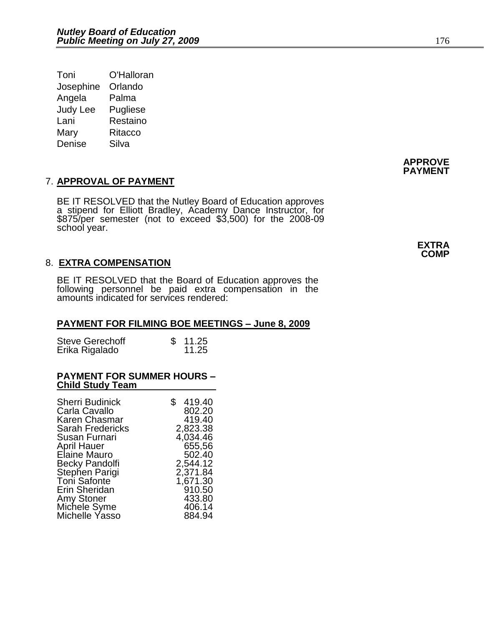| Toni            | O'Halloran |
|-----------------|------------|
| Josephine       | Orlando    |
| Angela          | Palma      |
| <b>Judy Lee</b> | Pugliese   |
| Lani            | Restaino   |
| Mary            | Ritacco    |
| Denise          | Silva      |

### 7. **APPROVAL OF PAYMENT**

BE IT RESOLVED that the Nutley Board of Education approves a stipend for Elliott Bradley, Academy Dance Instructor, for \$875/per semester (not to exceed \$3,500) for the 2008-09 school year.

#### 8. **EXTRA COMPENSATION**

BE IT RESOLVED that the Board of Education approves the following personnel be paid extra compensation in the amounts indicated for services rendered:

#### **PAYMENT FOR FILMING BOE MEETINGS – June 8, 2009**

| <b>Steve Gerechoff</b> | \$11.25 |
|------------------------|---------|
| Erika Rigalado         | 11.25   |

#### **PAYMENT FOR SUMMER HOURS – Child Study Team**

| <b>Sherri Budinick</b><br>Carla Cavallo | \$<br>419.40<br>802.20 |
|-----------------------------------------|------------------------|
| Karen Chasmar                           | 419.40                 |
| Sarah Fredericks<br>Susan Furnari       | 2,823.38<br>4,034.46   |
| <b>April Hauer</b>                      | 655,56                 |
| Elaine Mauro                            | 502.40                 |
| <b>Becky Pandolfi</b>                   | 2,544.12               |
| Stephen Parigi                          | 2,371.84               |
| Toni Safonte                            | 1,671.30               |
| Erin Sheridan                           | 910.50                 |
| <b>Amy Stoner</b>                       | 433.80                 |
| Michele Syme                            | 406.14                 |
| Michelle Yasso                          | 884.94                 |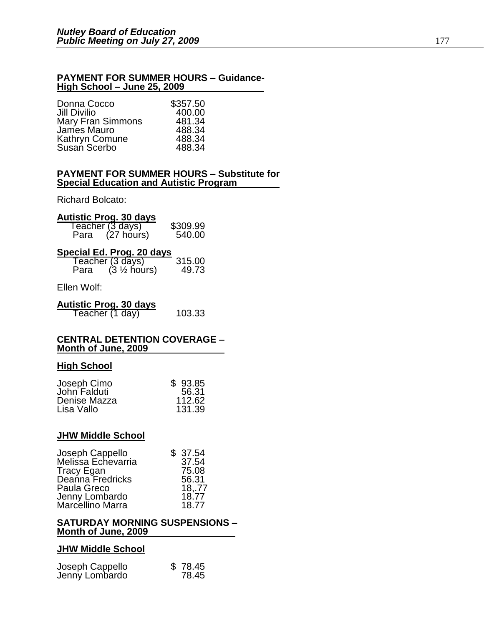#### **PAYMENT FOR SUMMER HOURS – Guidance-High School – June 25, 2009**

| Donna Cocco              | \$357.50 |
|--------------------------|----------|
| <b>Jill Divilio</b>      | 400.00   |
| <b>Mary Fran Simmons</b> | 481.34   |
| James Mauro              | 488.34   |
| Kathryn Comune           | 488.34   |
| Susan Scerbo             | 488.34   |

#### **PAYMENT FOR SUMMER HOURS – Substitute for Special Education and Autistic Program**

Richard Bolcato:

| <b>Autistic Prog. 30 days</b>       |          |
|-------------------------------------|----------|
| Teacher (3 days)<br>Para (27 hours) | \$309.99 |
| Para                                | 540.00   |

### **Special Ed. Prog. 20 days**

| Teacher $(3 \text{ days})$<br>Para $(3 \frac{1}{2} \text{ hours})$<br>315.00<br>49.73 |
|---------------------------------------------------------------------------------------|
|---------------------------------------------------------------------------------------|

Ellen Wolf:

| <b>Autistic Prog. 30 days</b> |        |
|-------------------------------|--------|
| Teacher (1 day)               | 103.33 |

#### **CENTRAL DETENTION COVERAGE – Month of June, 2009**

#### **High School**

| Joseph Cimo  | \$93.85 |
|--------------|---------|
| John Falduti | 56.31   |
| Denise Mazza | 112.62  |
| Lisa Vallo   | 131.39  |

#### **JHW Middle School**

| Joseph Cappello                    | \$37.54 |
|------------------------------------|---------|
| Melissa Echevarria                 | 37.54   |
| <b>Tracy Egan</b>                  | 75.08   |
| Deanna Fredricks                   | 56.31   |
| Paula Greco                        | 18,.77  |
| Jenny Lombardo<br>Marcellino Marra | 18.77   |
|                                    | 18.77   |

#### **SATURDAY MORNING SUSPENSIONS – Month of June, 2009**

#### **JHW Middle School**

| Joseph Cappello | \$78.45 |
|-----------------|---------|
| Jenny Lombardo  | 78.45   |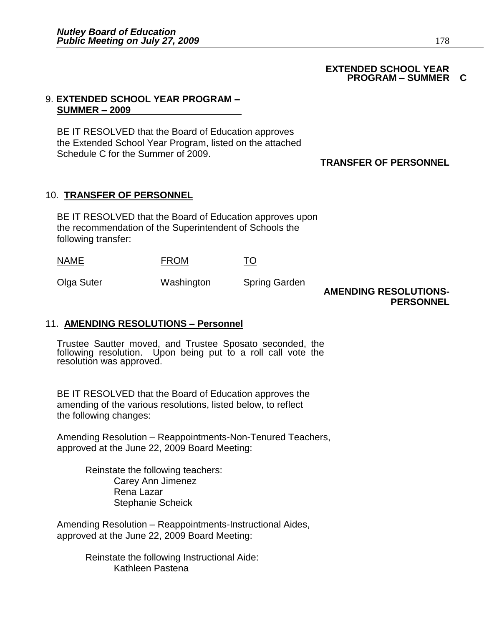#### **EXTENDED SCHOOL YEAR PROGRAM – SUMMER C**

#### 9. **EXTENDED SCHOOL YEAR PROGRAM – SUMMER – 2009**

BE IT RESOLVED that the Board of Education approves the Extended School Year Program, listed on the attached Schedule C for the Summer of 2009.

#### **TRANSFER OF PERSONNEL**

#### 10. **TRANSFER OF PERSONNEL**

BE IT RESOLVED that the Board of Education approves upon the recommendation of the Superintendent of Schools the following transfer:

Olga Suter Washington Spring Garden

**AMENDING RESOLUTIONS-PERSONNEL** 

#### 11. **AMENDING RESOLUTIONS – Personnel**

Trustee Sautter moved, and Trustee Sposato seconded, the following resolution. Upon being put to a roll call vote the resolution was approved.

BE IT RESOLVED that the Board of Education approves the amending of the various resolutions, listed below, to reflect the following changes:

Amending Resolution – Reappointments-Non-Tenured Teachers, approved at the June 22, 2009 Board Meeting:

> Reinstate the following teachers: Carey Ann Jimenez Rena Lazar Stephanie Scheick

Amending Resolution – Reappointments-Instructional Aides, approved at the June 22, 2009 Board Meeting:

> Reinstate the following Instructional Aide: Kathleen Pastena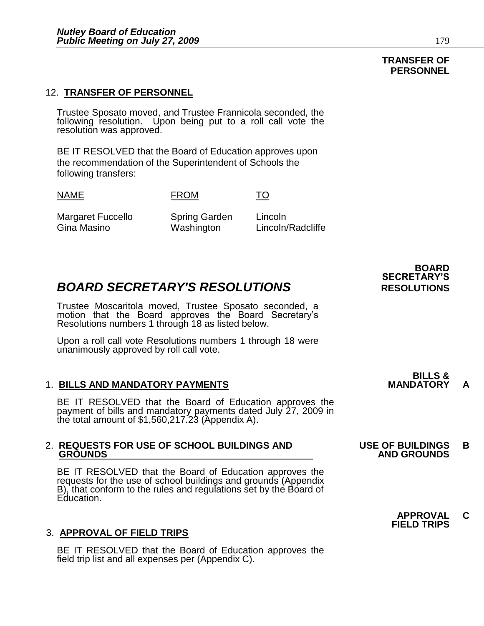#### 12. **TRANSFER OF PERSONNEL**

Trustee Sposato moved, and Trustee Frannicola seconded, the following resolution. Upon being put to a roll call vote the resolution was approved.

BE IT RESOLVED that the Board of Education approves upon the recommendation of the Superintendent of Schools the following transfers:

NAME FROM TO

Margaret Fuccello Spring Garden Lincoln Gina Masino Washington Lincoln/Radcliffe

### **BOARD SECRETARY'S RESOLUTIONS** RESOLUTIONS

Trustee Moscaritola moved, Trustee Sposato seconded, a motion that the Board approves the Board Secretary's Resolutions numbers 1 through 18 as listed below.

Upon a roll call vote Resolutions numbers 1 through 18 were unanimously approved by roll call vote.

#### **1. BILLS AND MANDATORY PAYMENTS**

BE IT RESOLVED that the Board of Education approves the payment of bills and mandatory payments dated July 27, 2009 in the total amount of \$1,560,217.23 (Appendix A).

## 2. **REQUESTS FOR USE OF SCHOOL BUILDINGS AND USE OF BUILDINGS B**

BE IT RESOLVED that the Board of Education approves the requests for the use of school buildings and grounds (Appendix B), that conform to the rules and regulations set by the Board of Education.

#### 3. **APPROVAL OF FIELD TRIPS**

BE IT RESOLVED that the Board of Education approves the field trip list and all expenses per (Appendix C).

**BOARD SECRETARY'S**

**BILLS &** 

### **GROUNDS AND GROUNDS**

#### **APPROVAL C FIELD TRIPS**

## **TRANSFER OF**

#### **PERSONNEL**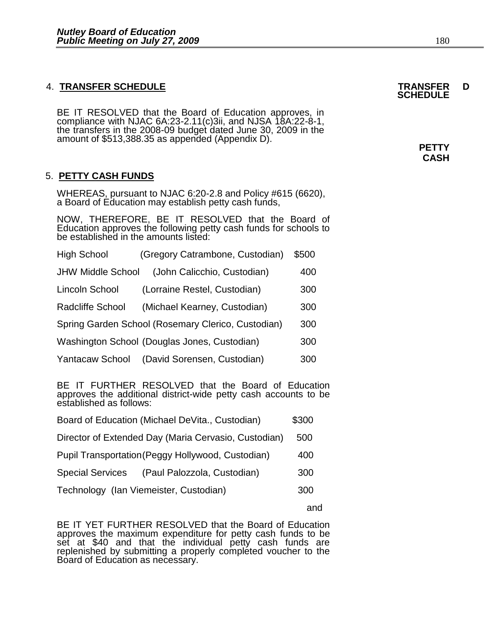#### 4. **TRANSFER SCHEDULE TRANSFER D**

BE IT RESOLVED that the Board of Education approves, in compliance with NJAC 6A:23-2.11(c)3ii, and NJSA 18A:22-8-1, the transfers in the 2008-09 budget dated June 30, 2009 in the amount of \$513,388.35 as appended (Appendix D).

### 5. **PETTY CASH FUNDS**

WHEREAS, pursuant to NJAC 6:20-2.8 and Policy #615 (6620), a Board of Education may establish petty cash funds,

NOW, THEREFORE, BE IT RESOLVED that the Board of Education approves the following petty cash funds for schools to be established in the amounts listed:

| <b>High School</b>       | (Gregory Catrambone, Custodian)                    | \$500 |
|--------------------------|----------------------------------------------------|-------|
| <b>JHW Middle School</b> | (John Calicchio, Custodian)                        | 400   |
| Lincoln School           | (Lorraine Restel, Custodian)                       | 300   |
| <b>Radcliffe School</b>  | (Michael Kearney, Custodian)                       | 300   |
|                          | Spring Garden School (Rosemary Clerico, Custodian) | 300   |
|                          | Washington School (Douglas Jones, Custodian)       | 300   |
| <b>Yantacaw School</b>   | (David Sorensen, Custodian)                        | 300   |
|                          |                                                    |       |

BE IT FURTHER RESOLVED that the Board of Education approves the additional district-wide petty cash accounts to be established as follows:

| Board of Education (Michael DeVita., Custodian) | \$300 |
|-------------------------------------------------|-------|
|                                                 |       |

- Director of Extended Day (Maria Cervasio, Custodian) 500
- Pupil Transportation (Peggy Hollywood, Custodian) 400
- Special Services (Paul Palozzola, Custodian) 300
- Technology (Ian Viemeister, Custodian) 300

and the contract of the contract of the contract of the contract of the contract of the contract of the contract of the contract of the contract of the contract of the contract of the contract of the contract of the contra

BE IT YET FURTHER RESOLVED that the Board of Education approves the maximum expenditure for petty cash funds to be set at \$40 and that the individual petty cash funds are replenished by submitting a properly completed voucher to the Board of Education as necessary.

# **SCHEDULE**

**PETTY CASH**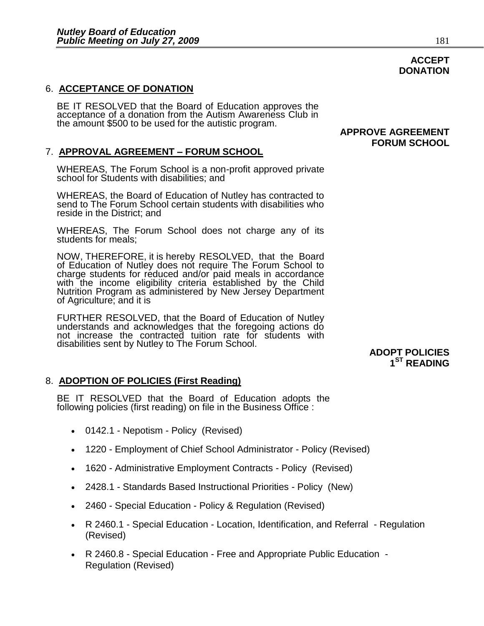#### 6. **ACCEPTANCE OF DONATION**

֧֖֖֖֖֖֖֖֖֖֖֖֖֖֖֪֪ׅ֖֖֪֪֪ׅ֖֖֖֖֖֖֧֚֚֚֚֚֚֚֚֚֚֚֚֚֚֚֚֚֚֚֞֝֬֝֝֟֓֡֬֝֝֝֬֝֓֞֬֝֬֝֬֝֬֝֬֝֬֝֬֝֞

BE IT RESOLVED that the Board of Education approves the acceptance of a donation from the Autism Awareness Club in the amount \$500 to be used for the autistic program.

#### 7. **APPROVAL AGREEMENT – FORUM SCHOOL**

WHEREAS, The Forum School is a non-profit approved private school for Students with disabilities; and

 WHEREAS, the Board of Education of Nutley has contracted to send to The Forum School certain students with disabilities who reside in the District; and

WHEREAS, The Forum School does not charge any of its students for meals;

NOW, THEREFORE, it is hereby RESOLVED, that the Board of Education of Nutley does not require The Forum School to charge students for reduced and/or paid meals in accordance with the income eligibility criteria established by the Child Nutrition Program as administered by New Jersey Department of Agriculture; and it is

FURTHER RESOLVED, that the Board of Education of Nutley understands and acknowledges that the foregoing actions do not increase the contracted tuition rate for students with disabilities sent by Nutley to The Forum School.

#### 8. **ADOPTION OF POLICIES (First Reading)**

BE IT RESOLVED that the Board of Education adopts the following policies (first reading) on file in the Business Office :

- 0142.1 Nepotism Policy (Revised)
- 1220 Employment of Chief School Administrator Policy (Revised)
- 1620 Administrative Employment Contracts Policy (Revised)
- 2428.1 Standards Based Instructional Priorities Policy (New)
- 2460 Special Education Policy & Regulation (Revised)
- R 2460.1 Special Education Location, Identification, and Referral Regulation (Revised)
- R 2460.8 Special Education Free and Appropriate Public Education Regulation (Revised)

#### **APPROVE AGREEMENT FORUM SCHOOL**

#### **ADOPT POLICIES 1 ST READING**

**DONATION**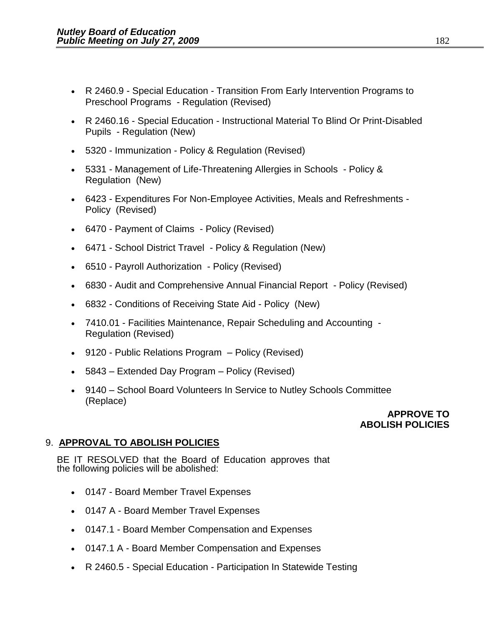- R 2460.9 Special Education Transition From Early Intervention Programs to Preschool Programs - Regulation (Revised)
- R 2460.16 Special Education Instructional Material To Blind Or Print-Disabled Pupils - Regulation (New)
- 5320 Immunization Policy & Regulation (Revised)
- 5331 Management of Life-Threatening Allergies in Schools Policy & Regulation (New)
- 6423 Expenditures For Non-Employee Activities, Meals and Refreshments Policy (Revised)
- 6470 Payment of Claims Policy (Revised)
- 6471 School District Travel Policy & Regulation (New)
- 6510 Payroll Authorization Policy (Revised)
- 6830 Audit and Comprehensive Annual Financial Report Policy (Revised)
- 6832 Conditions of Receiving State Aid Policy (New)
- 7410.01 Facilities Maintenance, Repair Scheduling and Accounting Regulation (Revised)
- 9120 Public Relations Program Policy (Revised)
- 5843 Extended Day Program Policy (Revised)
- 9140 School Board Volunteers In Service to Nutley Schools Committee (Replace)

### **APPROVE TO ABOLISH POLICIES**

### 9. **APPROVAL TO ABOLISH POLICIES**

BE IT RESOLVED that the Board of Education approves that the following policies will be abolished:

- 0147 Board Member Travel Expenses
- 0147 A Board Member Travel Expenses
- 0147.1 Board Member Compensation and Expenses
- 0147.1 A Board Member Compensation and Expenses
- R 2460.5 Special Education Participation In Statewide Testing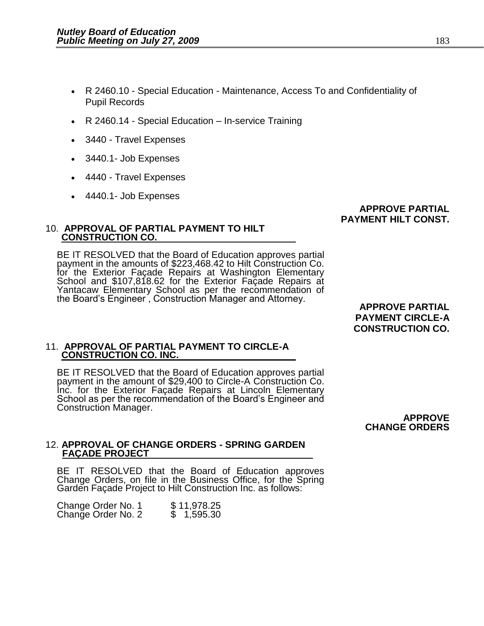- R 2460.10 Special Education Maintenance, Access To and Confidentiality of Pupil Records
- R 2460.14 Special Education In-service Training
- 3440 Travel Expenses
- 3440.1- Job Expenses
- 4440 Travel Expenses
- 4440.1- Job Expenses

#### **APPROVE PARTIAL PAYMENT HILT CONST.**

#### 10. **APPROVAL OF PARTIAL PAYMENT TO HILT CONSTRUCTION CO.**

BE IT RESOLVED that the Board of Education approves partial payment in the amounts of \$223,468.42 to Hilt Construction Co. for the Exterior Façade Repairs at Washington Elementary School and \$107,818.62 for the Exterior Façade Repairs at Yantacaw Elementary School as per the recommendation of the Board's Engineer , Construction Manager and Attorney.

**APPROVE PARTIAL PAYMENT CIRCLE-A CONSTRUCTION CO.** 

#### 11. **APPROVAL OF PARTIAL PAYMENT TO CIRCLE-A CONSTRUCTION CO. INC.**

BE IT RESOLVED that the Board of Education approves partial payment in the amount of \$29,400 to Circle-A Construction Co. Inc. for the Exterior Façade Repairs at Lincoln Elementary School as per the recommendation of the Board's Engineer and Construction Manager.

> **APPROVE CHANGE ORDERS**

#### 12. **APPROVAL OF CHANGE ORDERS - SPRING GARDEN FAÇADE PROJECT**

BE IT RESOLVED that the Board of Education approves Change Orders, on file in the Business Office, for the Spring Garden Façade Project to Hilt Construction Inc. as follows:

| Change Order No. 1 |  | \$11,978.25 |
|--------------------|--|-------------|
| Change Order No. 2 |  | 1,595.30    |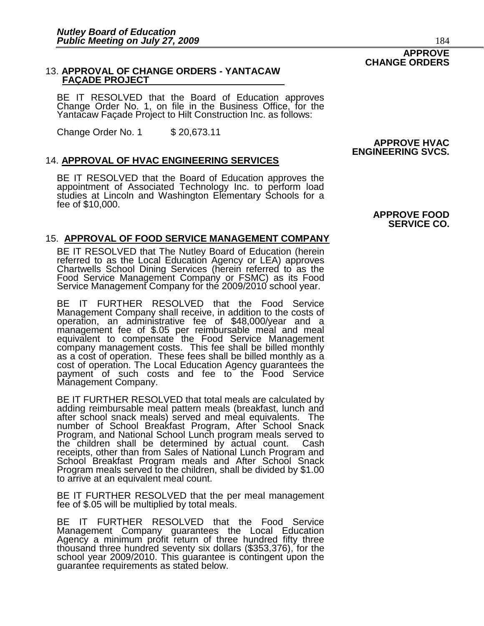#### 13. **APPROVAL OF CHANGE ORDERS - YANTACAW FAÇADE PROJECT**

BE IT RESOLVED that the Board of Education approves Change Order No. 1, on file in the Business Office, for the Yantacaw Façade Project to Hilt Construction Inc. as follows:

Change Order No. 1 \$ 20,673.11

#### 14. **APPROVAL OF HVAC ENGINEERING SERVICES**

BE IT RESOLVED that the Board of Education approves the appointment of Associated Technology Inc. to perform load studies at Lincoln and Washington Elementary Schools for a fee of \$10,000.

#### 15. **APPROVAL OF FOOD SERVICE MANAGEMENT COMPANY**

BE IT RESOLVED that The Nutley Board of Education (herein referred to as the Local Education Agency or LEA) approves Chartwells School Dining Services (herein referred to as the Food Service Management Company or FSMC) as its Food Service Management Company for the 2009/2010 school year.

BE IT FURTHER RESOLVED that the Food Service Management Company shall receive, in addition to the costs of operation, an administrative fee of \$48,000/year and a management fee of \$.05 per reimbursable meal and meal equivalent to compensate the Food Service Management company management costs. This fee shall be billed monthly as a cost of operation. These fees shall be billed monthly as a cost of operation. The Local Education Agency guarantees the payment of such costs and fee to the Food Service Management Company.

BE IT FURTHER RESOLVED that total meals are calculated by adding reimbursable meal pattern meals (breakfast, lunch and after school snack meals) served and meal equivalents. The number of School Breakfast Program, After School Snack Program, and National School Lunch program meals served to the children shall be determined by actual count. Cash receipts, other than from Sales of National Lunch Program and School Breakfast Program meals and After School Snack Program meals served to the children, shall be divided by \$1.00 to arrive at an equivalent meal count.

BE IT FURTHER RESOLVED that the per meal management fee of \$.05 will be multiplied by total meals.

BE IT FURTHER RESOLVED that the Food Service Management Company guarantees the Local Education Agency a minimum profit return of three hundred fifty three thousand three hundred seventy six dollars (\$353,376), for the school year 2009/2010. This guarantee is contingent upon the guarantee requirements as stated below.

#### **APPROVE HVAC ENGINEERING SVCS.**

#### **APPROVE FOOD SERVICE CO.**

### **CHANGE ORDERS**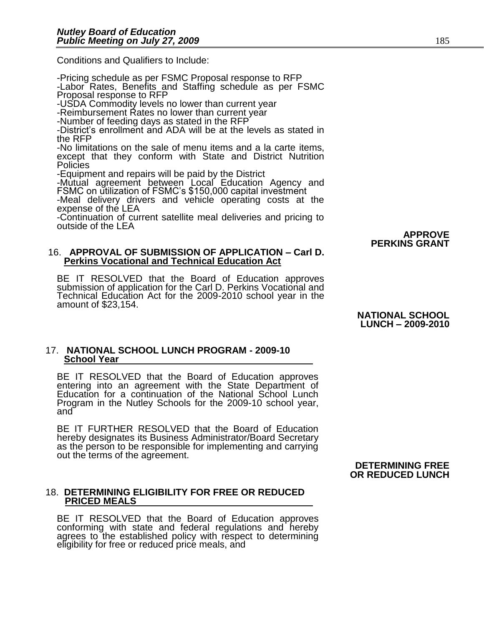Conditions and Qualifiers to Include:

-Pricing schedule as per FSMC Proposal response to RFP -Labor Rates, Benefits and Staffing schedule as per FSMC Proposal response to RFP

-USDA Commodity levels no lower than current year

-Reimbursement Rates no lower than current year

-Number of feeding days as stated in the RFP

-District's enrollment and ADA will be at the levels as stated in the RFP

-No limitations on the sale of menu items and a la carte items, except that they conform with State and District Nutrition Policies

-Equipment and repairs will be paid by the District

-Mutual agreement between Local Education Agency and FSMC on utilization of FSMC's \$150,000 capital investment

-Meal delivery drivers and vehicle operating costs at the expense of the LEA

-Continuation of current satellite meal deliveries and pricing to outside of the LEA

#### 16. **APPROVAL OF SUBMISSION OF APPLICATION – Carl D. Perkins Vocational and Technical Education Act**

BE IT RESOLVED that the Board of Education approves submission of application for the Carl D. Perkins Vocational and Technical Education Act for the 2009-2010 school year in the amount of \$23,154.

> **NATIONAL SCHOOL LUNCH – 2009-2010**

**APPROVE** 

**PERKINS GRANT**

#### 17. **NATIONAL SCHOOL LUNCH PROGRAM - 2009-10 School Year**

BE IT RESOLVED that the Board of Education approves entering into an agreement with the State Department of Education for a continuation of the National School Lunch Program in the Nutley Schools for the 2009-10 school year, and

BE IT FURTHER RESOLVED that the Board of Education hereby designates its Business Administrator/Board Secretary as the person to be responsible for implementing and carrying out the terms of the agreement.

#### 18. **DETERMINING ELIGIBILITY FOR FREE OR REDUCED PRICED MEALS**

BE IT RESOLVED that the Board of Education approves conforming with state and federal regulations and hereby agrees to the established policy with respect to determining eligibility for free or reduced price meals, and

#### **DETERMINING FREE OR REDUCED LUNCH**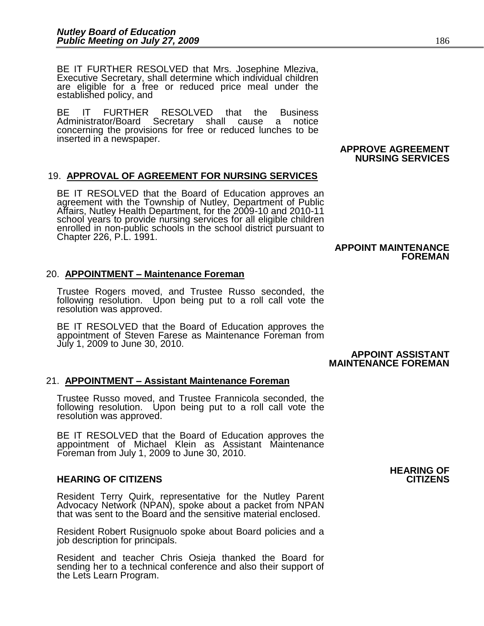BE IT FURTHER RESOLVED that Mrs. Josephine Mleziva, Executive Secretary, shall determine which individual children are eligible for a free or reduced price meal under the established policy, and

BE IT FURTHER RESOLVED that the Business Administrator/Board Secretary shall cause a notice concerning the provisions for free or reduced lunches to be inserted in a newspaper.

#### **APPROVE AGREEMENT NURSING SERVICES**

#### 19. **APPROVAL OF AGREEMENT FOR NURSING SERVICES**

BE IT RESOLVED that the Board of Education approves an agreement with the Township of Nutley, Department of Public Affairs, Nutley Health Department, for the 2009-10 and 2010-11 school years to provide nursing services for all eligible children enrolled in non-public schools in the school district pursuant to Chapter 226, P.L. 1991.

#### **APPOINT MAINTENANCE FOREMAN**

#### 20. **APPOINTMENT – Maintenance Foreman**

Trustee Rogers moved, and Trustee Russo seconded, the following resolution. Upon being put to a roll call vote the resolution was approved.

BE IT RESOLVED that the Board of Education approves the appointment of Steven Farese as Maintenance Foreman from July 1, 2009 to June 30, 2010.

#### **APPOINT ASSISTANT MAINTENANCE FOREMAN**

#### 21. **APPOINTMENT – Assistant Maintenance Foreman**

Trustee Russo moved, and Trustee Frannicola seconded, the following resolution. Upon being put to a roll call vote the resolution was approved.

BE IT RESOLVED that the Board of Education approves the appointment of Michael Klein as Assistant Maintenance Foreman from July 1, 2009 to June 30, 2010.

#### **HEARING OF CITIZENS CITIZENS**

Resident Terry Quirk, representative for the Nutley Parent Advocacy Network (NPAN), spoke about a packet from NPAN that was sent to the Board and the sensitive material enclosed.

Resident Robert Rusignuolo spoke about Board policies and a job description for principals.

Resident and teacher Chris Osieja thanked the Board for sending her to a technical conference and also their support of the Lets Learn Program.

# **HEARING OF**